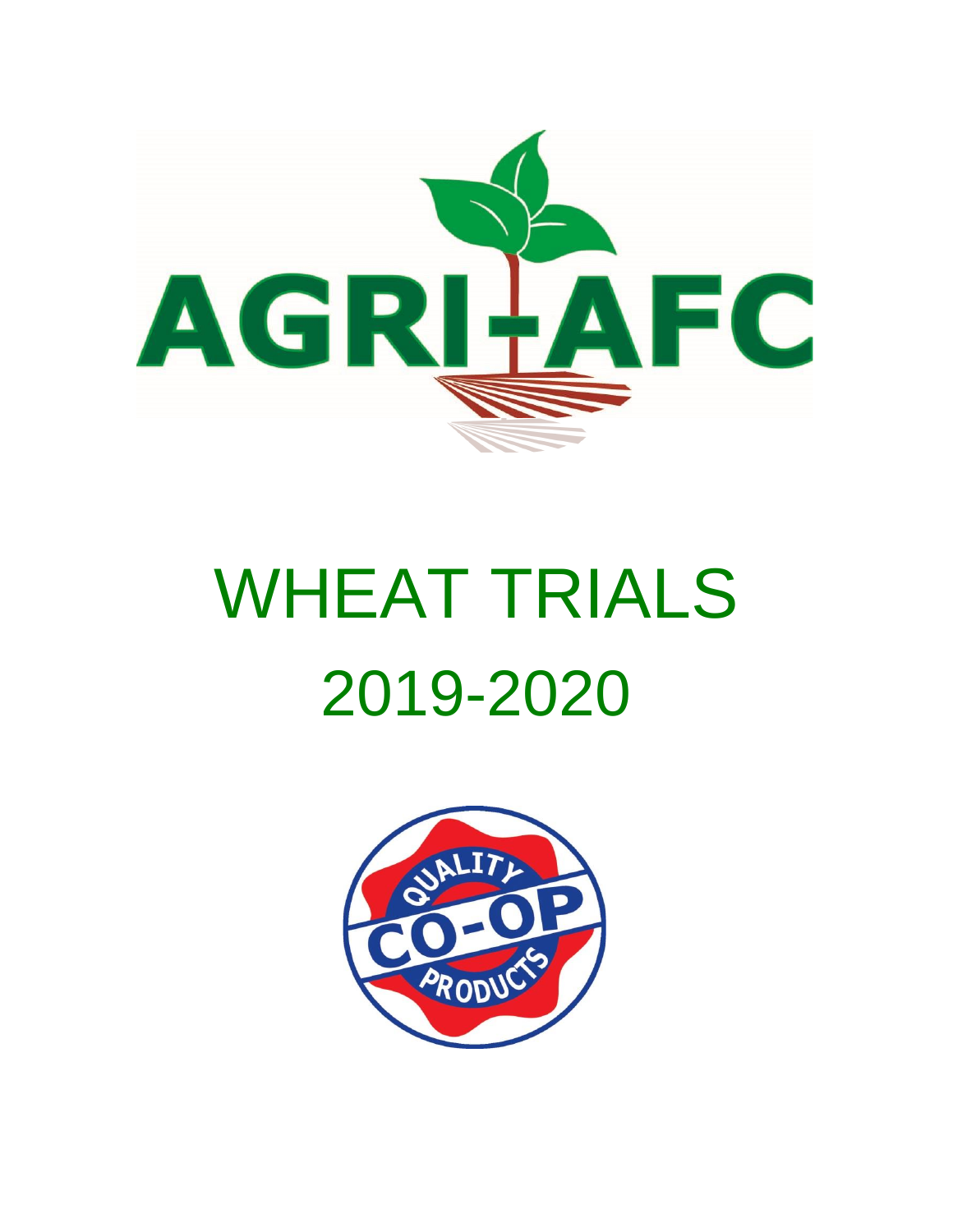

# WHEAT TRIALS 2019-2020

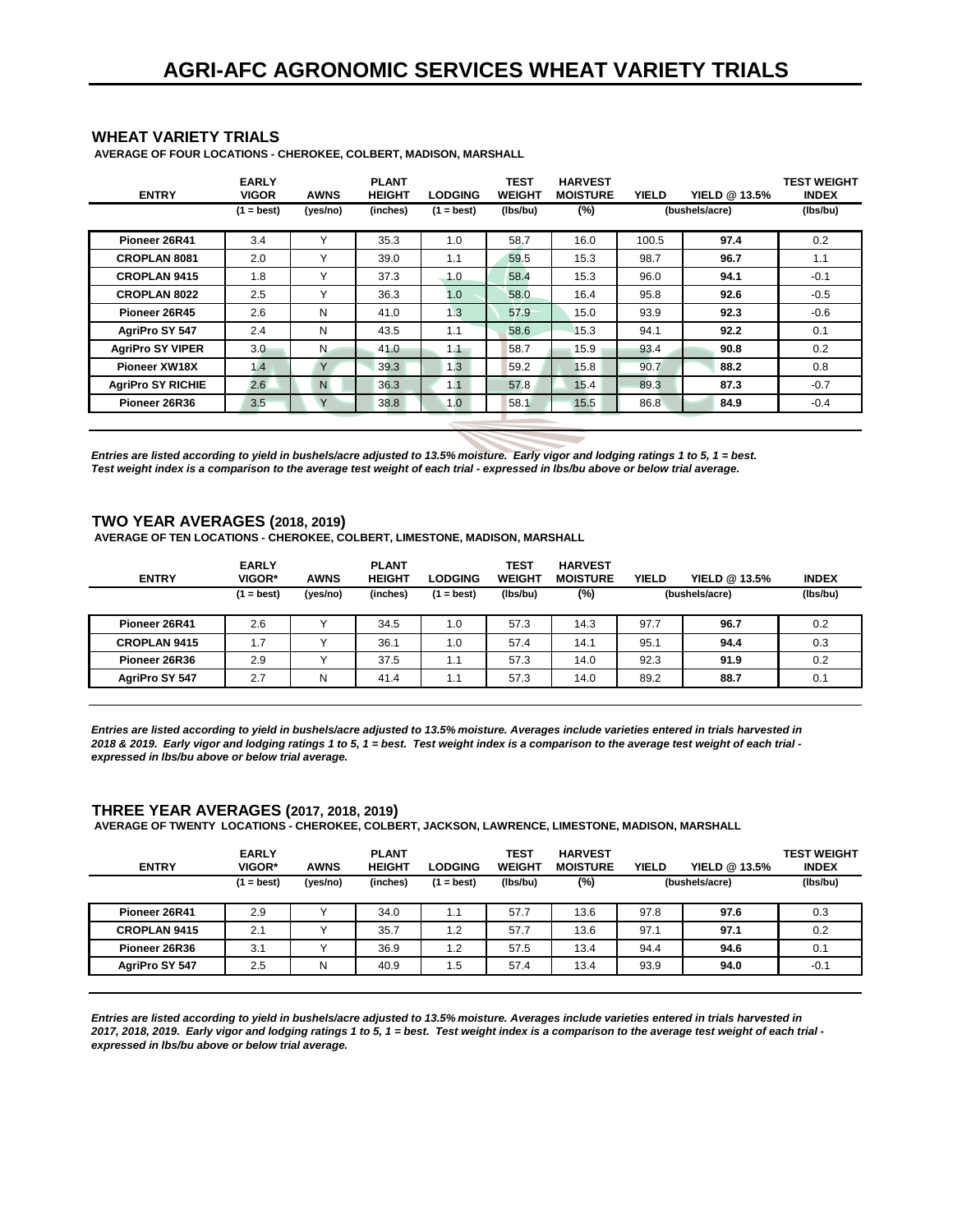#### **WHEAT VARIETY TRIALS**

 **AVERAGE OF FOUR LOCATIONS - CHEROKEE, COLBERT, MADISON, MARSHALL**

| <b>ENTRY</b>             | <b>EARLY</b><br><b>VIGOR</b> | <b>AWNS</b>  | <b>PLANT</b><br><b>HEIGHT</b> | <b>LODGING</b> | <b>TEST</b><br><b>WEIGHT</b> | <b>HARVEST</b><br><b>MOISTURE</b> | <b>YIELD</b> | YIELD @ 13.5%  | <b>TEST WEIGHT</b><br><b>INDEX</b> |
|--------------------------|------------------------------|--------------|-------------------------------|----------------|------------------------------|-----------------------------------|--------------|----------------|------------------------------------|
|                          | $(1 = best)$                 | (yes/no)     | (inches)                      | $(1 = best)$   | (lbs/bu)                     | $(\%)$                            |              | (bushels/acre) | (Ibs/bu)                           |
| Pioneer 26R41            | 3.4                          | $\checkmark$ | 35.3                          | 1.0            | 58.7                         | 16.0                              | 100.5        | 97.4           | 0.2                                |
| <b>CROPLAN 8081</b>      | 2.0                          | $\checkmark$ | 39.0                          | 1.1            | 59.5                         | 15.3                              | 98.7         | 96.7           | 1.1                                |
| <b>CROPLAN 9415</b>      | 1.8                          | $\checkmark$ | 37.3                          | 1.0            | 58.4                         | 15.3                              | 96.0         | 94.1           | $-0.1$                             |
| <b>CROPLAN 8022</b>      | 2.5                          | $\checkmark$ | 36.3                          | 1.0            | 58.0                         | 16.4                              | 95.8         | 92.6           | $-0.5$                             |
| Pioneer 26R45            | 2.6                          | N            | 41.0                          | 1.3            | 57.9                         | 15.0                              | 93.9         | 92.3           | $-0.6$                             |
| AgriPro SY 547           | 2.4                          | N            | 43.5                          | 1.1            | 58.6                         | 15.3                              | 94.1         | 92.2           | 0.1                                |
| <b>AgriPro SY VIPER</b>  | 3.0                          | N.           | 41.0                          | 1.1            | 58.7                         | 15.9                              | 93.4         | 90.8           | 0.2                                |
| <b>Pioneer XW18X</b>     | 1.4                          | Y            | 39.3                          | 1.3            | 59.2                         | 15.8                              | 90.7         | 88.2           | 0.8                                |
| <b>AgriPro SY RICHIE</b> | 2.6                          | $\mathsf{N}$ | 36.3                          | 1.1            | 57.8                         | 15.4                              | 89.3         | 87.3           | $-0.7$                             |
| Pioneer 26R36            | 3.5                          | Y            | 38.8                          | 1.0            | 58.1                         | 15.5                              | 86.8         | 84.9           | $-0.4$                             |
|                          |                              |              |                               |                |                              |                                   |              |                |                                    |

*Entries are listed according to yield in bushels/acre adjusted to 13.5% moisture. Early vigor and lodging ratings 1 to 5, 1 = best. Test weight index is a comparison to the average test weight of each trial - expressed in lbs/bu above or below trial average.*

#### **TWO YEAR AVERAGES (2018, 2019)**

 **AVERAGE OF TEN LOCATIONS - CHEROKEE, COLBERT, LIMESTONE, MADISON, MARSHALL**

| <b>ENTRY</b>        | <b>EARLY</b><br>VIGOR* | <b>AWNS</b> | <b>PLANT</b><br><b>HEIGHT</b> | <b>LODGING</b> | <b>TEST</b><br><b>WEIGHT</b> | <b>HARVEST</b><br><b>MOISTURE</b> | <b>YIELD</b> | YIELD @ 13.5%  | <b>INDEX</b> |
|---------------------|------------------------|-------------|-------------------------------|----------------|------------------------------|-----------------------------------|--------------|----------------|--------------|
|                     | $(1 = best)$           | (yes/no)    | (inches)                      | $=$ best)      | (Ibs/bu)                     | (%)                               |              | (bushels/acre) | (lbs/bu)     |
| Pioneer 26R41       | 2.6                    |             | 34.5                          | 1.0            | 57.3                         | 14.3                              | 97.7         | 96.7           | 0.2          |
| <b>CROPLAN 9415</b> | 1.7                    |             | 36.1                          | 1.0            | 57.4                         | 14.1                              | 95.1         | 94.4           | 0.3          |
| Pioneer 26R36       | 2.9                    |             | 37.5                          | 1.1            | 57.3                         | 14.0                              | 92.3         | 91.9           | 0.2          |
| AgriPro SY 547      | 2.7                    | N           | 41.4                          | 1.1            | 57.3                         | 14.0                              | 89.2         | 88.7           | 0.1          |

*Entries are listed according to yield in bushels/acre adjusted to 13.5% moisture. Averages include varieties entered in trials harvested in 2018 & 2019. Early vigor and lodging ratings 1 to 5, 1 = best. Test weight index is a comparison to the average test weight of each trial expressed in lbs/bu above or below trial average.*

#### **THREE YEAR AVERAGES (2017, 2018, 2019)**

 **AVERAGE OF TWENTY LOCATIONS - CHEROKEE, COLBERT, JACKSON, LAWRENCE, LIMESTONE, MADISON, MARSHALL**

| <b>ENTRY</b>        | <b>EARLY</b><br>VIGOR* | <b>AWNS</b> | <b>PLANT</b><br><b>HEIGHT</b> | <b>LODGING</b> | TEST<br><b>WEIGHT</b> | <b>HARVEST</b><br><b>MOISTURE</b> | <b>YIELD</b> | YIELD @ 13.5%  | <b>TEST WEIGHT</b><br><b>INDEX</b> |
|---------------------|------------------------|-------------|-------------------------------|----------------|-----------------------|-----------------------------------|--------------|----------------|------------------------------------|
|                     | $(1 = best)$           | (yes/no)    | (inches)                      | (1 = best)     | (Ibs/bu)              | (%)                               |              | (bushels/acre) | (Ibs/bu)                           |
| Pioneer 26R41       | 2.9                    |             | 34.0                          | 1.1            | 57.7                  | 13.6                              | 97.8         | 97.6           | 0.3                                |
| <b>CROPLAN 9415</b> | 2.1                    |             | 35.7                          | 1.2            | 57.7                  | 13.6                              | 97.1         | 97.1           | 0.2                                |
| Pioneer 26R36       | 3.1                    |             | 36.9                          | 1.2            | 57.5                  | 13.4                              | 94.4         | 94.6           | 0.1                                |
| AgriPro SY 547      | 2.5                    | N           | 40.9                          | 1.5            | 57.4                  | 13.4                              | 93.9         | 94.0           | $-0.1$                             |

*Entries are listed according to yield in bushels/acre adjusted to 13.5% moisture. Averages include varieties entered in trials harvested in 2017, 2018, 2019. Early vigor and lodging ratings 1 to 5, 1 = best. Test weight index is a comparison to the average test weight of each trial expressed in lbs/bu above or below trial average.*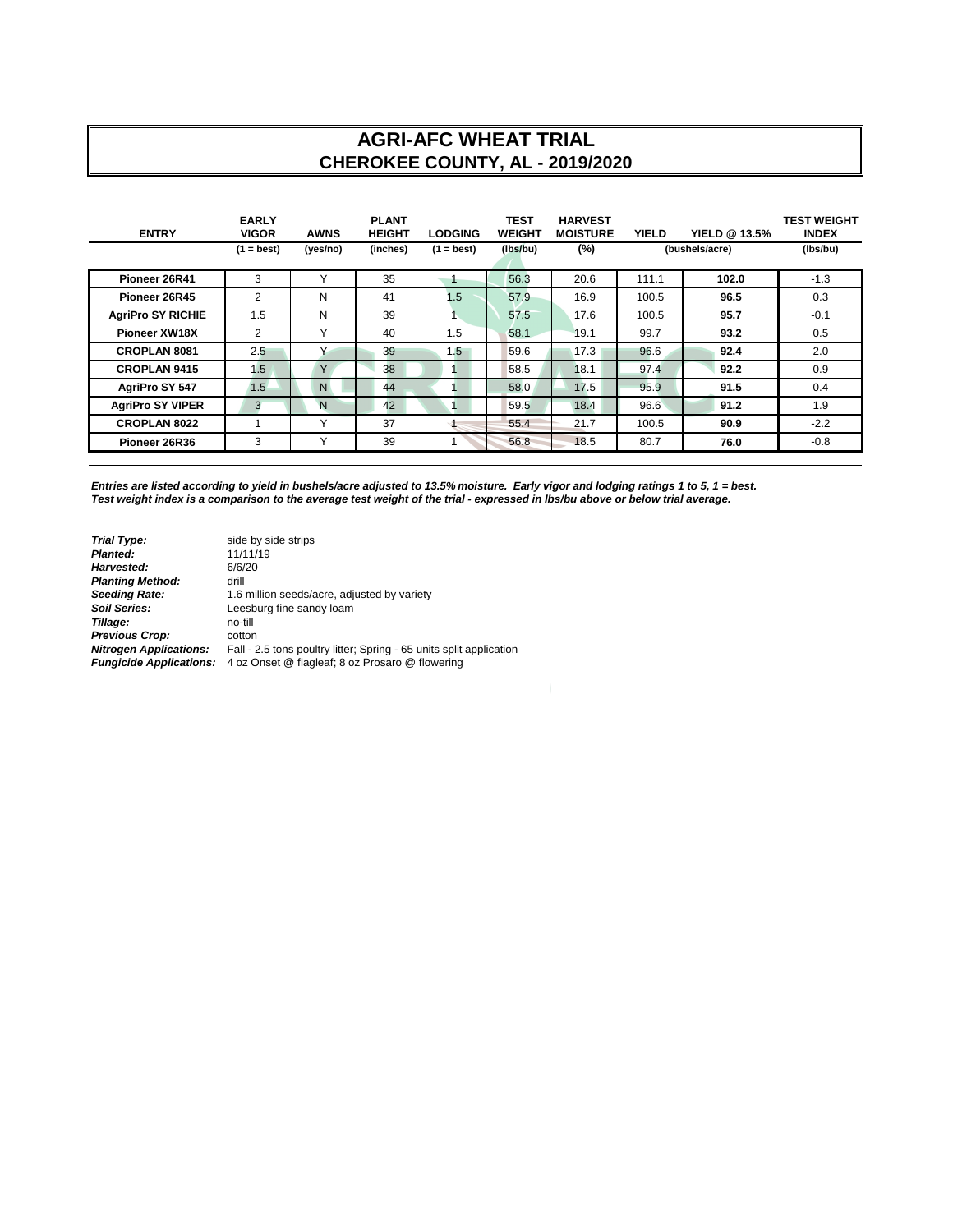## **AGRI-AFC WHEAT TRIAL CHEROKEE COUNTY, AL - 2019/2020**

| <b>ENTRY</b>             | <b>EARLY</b><br><b>VIGOR</b> | <b>AWNS</b>  | <b>PLANT</b><br><b>HEIGHT</b> | <b>LODGING</b> | <b>TEST</b><br><b>WEIGHT</b> | <b>HARVEST</b><br><b>MOISTURE</b> | <b>YIELD</b> | YIELD @ 13.5%  | TEST WEIGHT<br><b>INDEX</b> |
|--------------------------|------------------------------|--------------|-------------------------------|----------------|------------------------------|-----------------------------------|--------------|----------------|-----------------------------|
|                          | $(1 = best)$                 | (yes/no)     | (inches)                      | $(1 = best)$   | (Ibs/bu)                     | $(\%)$                            |              | (bushels/acre) | (Ibs/bu)                    |
| Pioneer 26R41            | 3                            | $\checkmark$ | 35                            |                | 56.3                         | 20.6                              | 111.1        | 102.0          | $-1.3$                      |
| Pioneer 26R45            | 2                            | N            | 41                            | 1.5            | 57.9                         | 16.9                              | 100.5        | 96.5           | 0.3                         |
| <b>AgriPro SY RICHIE</b> | 1.5                          | N            | 39                            |                | 57.5                         | 17.6                              | 100.5        | 95.7           | $-0.1$                      |
| Pioneer XW18X            | 2                            | Υ            | 40                            | 1.5            | 58.1                         | 19.1                              | 99.7         | 93.2           | 0.5                         |
| <b>CROPLAN 8081</b>      | 2.5                          | $\checkmark$ | 39                            | 1.5            | 59.6                         | 17.3                              | 96.6         | 92.4           | 2.0                         |
| <b>CROPLAN 9415</b>      | 1.5                          | Y            | 38                            |                | 58.5                         | 18.1                              | 97.4         | 92.2           | 0.9                         |
| AgriPro SY 547           | 1.5                          | N            | 44                            |                | 58.0                         | 17.5                              | 95.9         | 91.5           | 0.4                         |
| <b>AgriPro SY VIPER</b>  | 3                            | N            | 42                            |                | 59.5                         | 18.4                              | 96.6         | 91.2           | 1.9                         |
| <b>CROPLAN 8022</b>      |                              | $\checkmark$ | 37                            |                | 55.4                         | 21.7                              | 100.5        | 90.9           | $-2.2$                      |
| Pioneer 26R36            | 3                            | Υ            | 39                            |                | 56.8                         | 18.5                              | 80.7         | 76.0           | $-0.8$                      |

*Entries are listed according to yield in bushels/acre adjusted to 13.5% moisture. Early vigor and lodging ratings 1 to 5, 1 = best. Test weight index is a comparison to the average test weight of the trial - expressed in lbs/bu above or below trial average.*

| <b>Trial Type:</b>             | side by side strips                                                 |
|--------------------------------|---------------------------------------------------------------------|
| Planted:                       | 11/11/19                                                            |
| Harvested:                     | 6/6/20                                                              |
| <b>Planting Method:</b>        | drill                                                               |
| <b>Seeding Rate:</b>           | 1.6 million seeds/acre, adjusted by variety                         |
| <b>Soil Series:</b>            | Leesburg fine sandy loam                                            |
| Tillage:                       | no-till                                                             |
| <b>Previous Crop:</b>          | cotton                                                              |
| <b>Nitrogen Applications:</b>  | Fall - 2.5 tons poultry litter; Spring - 65 units split application |
| <b>Fungicide Applications:</b> | 4 oz Onset @ flagleaf; 8 oz Prosaro @ flowering                     |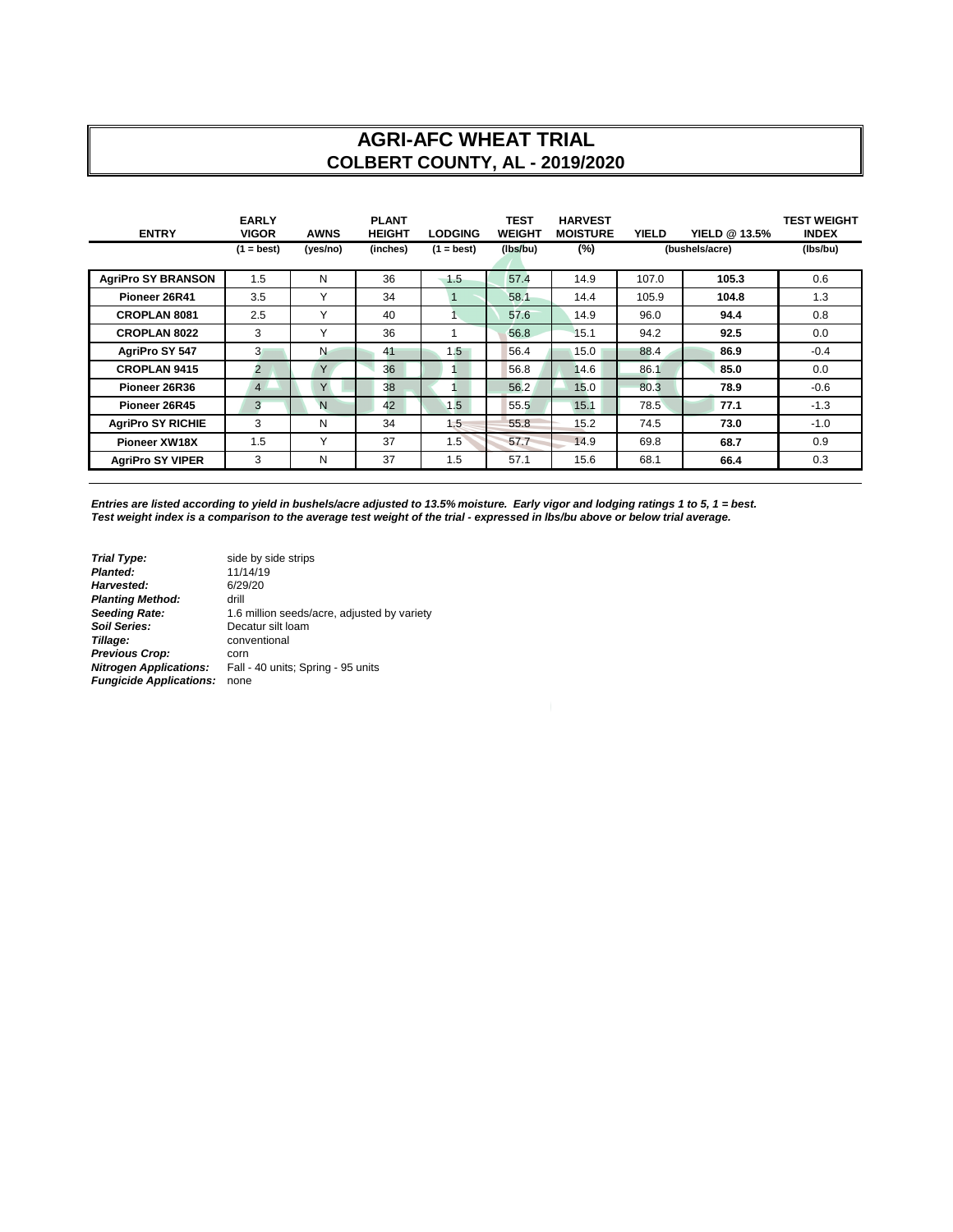#### **AGRI-AFC WHEAT TRIAL COLBERT COUNTY, AL - 2019/2020**

| <b>ENTRY</b>              | <b>EARLY</b><br><b>VIGOR</b> | <b>AWNS</b>  | <b>PLANT</b><br><b>HEIGHT</b> | <b>LODGING</b> | <b>TEST</b><br><b>WEIGHT</b> | <b>HARVEST</b><br><b>MOISTURE</b> | <b>YIELD</b> | YIELD @ 13.5%  | <b>TEST WEIGHT</b><br><b>INDEX</b> |
|---------------------------|------------------------------|--------------|-------------------------------|----------------|------------------------------|-----------------------------------|--------------|----------------|------------------------------------|
|                           | $(1 = best)$                 | (yes/no)     | (inches)                      | $(1 = best)$   | (Ibs/bu)                     | $(\%)$                            |              | (bushels/acre) | (Ibs/bu)                           |
| <b>AgriPro SY BRANSON</b> | 1.5                          | N            | 36                            | 1.5            | 57.4                         | 14.9                              | 107.0        | 105.3          | 0.6                                |
| Pioneer 26R41             | 3.5                          | Υ            | 34                            | 1              | 58.1                         | 14.4                              | 105.9        | 104.8          | 1.3                                |
| <b>CROPLAN 8081</b>       | 2.5                          | Υ            | 40                            |                | 57.6                         | 14.9                              | 96.0         | 94.4           | 0.8                                |
| <b>CROPLAN 8022</b>       | 3                            | $\checkmark$ | 36                            |                | 56.8                         | 15.1                              | 94.2         | 92.5           | 0.0                                |
| AgriPro SY 547            | 3                            | N            | 41                            | 1.5            | 56.4                         | 15.0                              | 88.4         | 86.9           | $-0.4$                             |
| <b>CROPLAN 9415</b>       | $\overline{2}$               | Y            | 36                            |                | 56.8                         | 14.6                              | 86.1         | 85.0           | 0.0                                |
| Pioneer 26R36             | $\overline{4}$               | Y            | 38                            |                | 56.2                         | 15.0                              | 80.3         | 78.9           | $-0.6$                             |
| Pioneer 26R45             | 3                            | N            | 42                            | 1.5            | 55.5                         | 15.1                              | 78.5         | 77.1           | $-1.3$                             |
| <b>AgriPro SY RICHIE</b>  | 3                            | N            | 34                            | 1.5            | 55.8                         | 15.2                              | 74.5         | 73.0           | $-1.0$                             |
| Pioneer XW18X             | 1.5                          | Υ            | 37                            | 1.5            | 57.7                         | 14.9                              | 69.8         | 68.7           | 0.9                                |
| <b>AgriPro SY VIPER</b>   | 3                            | N            | 37                            | 1.5            | 57.1                         | 15.6                              | 68.1         | 66.4           | 0.3                                |

*Entries are listed according to yield in bushels/acre adjusted to 13.5% moisture. Early vigor and lodging ratings 1 to 5, 1 = best. Test weight index is a comparison to the average test weight of the trial - expressed in lbs/bu above or below trial average.*

**Trial Type:** side by side strips<br> **Planted:** 11/14/19 **Planted:** 11/14/19<br> **Harvested:** 6/29/20 **Harvested:** 6/29<br>**Planting Method:** 6/29 **Planting Method:<br>Seeding Rate: Seeding Rate:** 1.6 million seeds/acre, adjusted by variety<br> **Soil Series:** Decatur silt loam **Soil Series:** Decatur silt loam<br> **Soil Series:** Decatur silt loam<br> **Tillage:** conventional *Tillage:* conventional **Previous Crop:** corn<br>**Nitrogen Applications:** Fall -*Nitrogen Applications:* Fall - 40 units; Spring - 95 units *Fungicide Applications:* none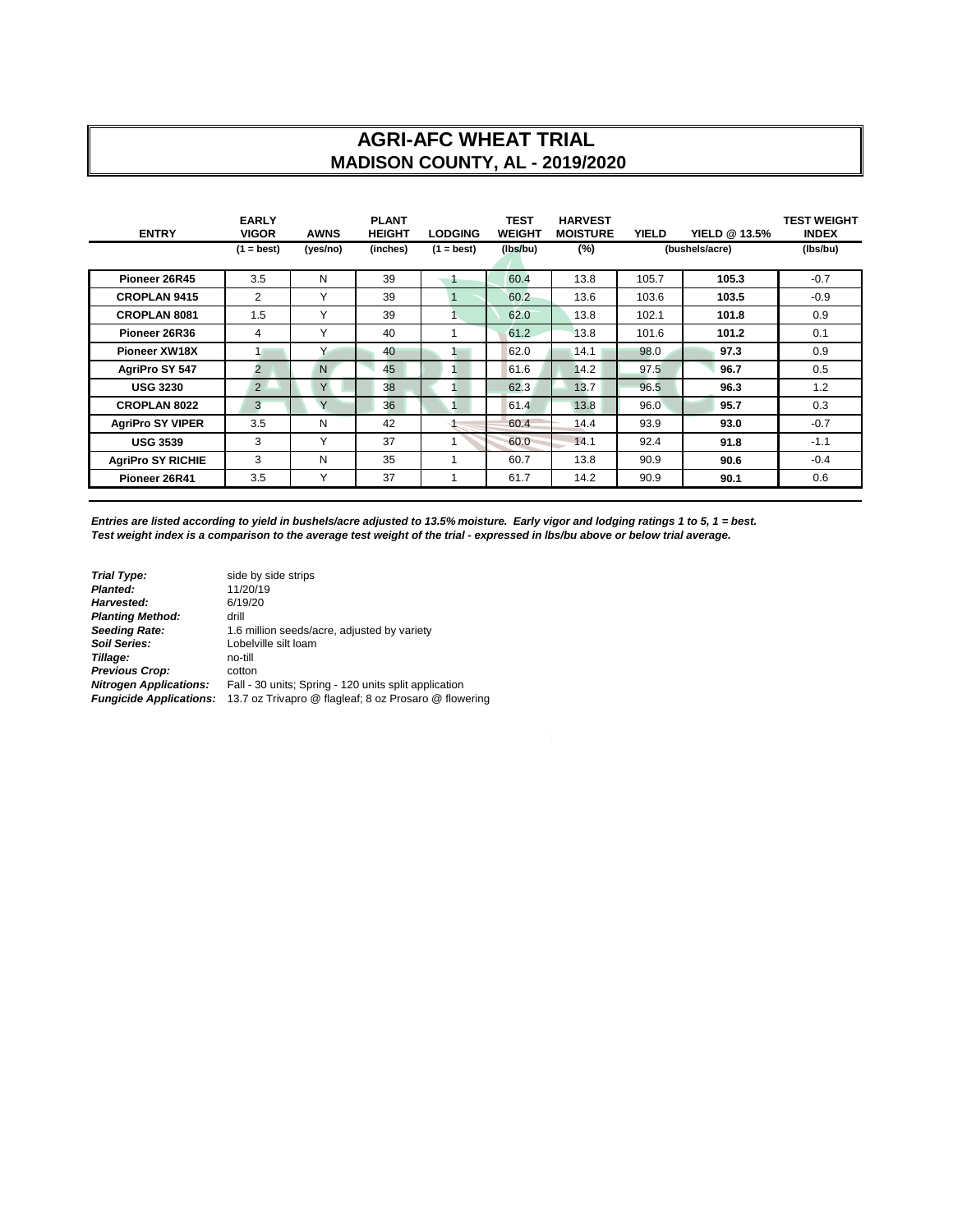## **AGRI-AFC WHEAT TRIAL MADISON COUNTY, AL - 2019/2020**

| <b>ENTRY</b>             | <b>EARLY</b><br><b>VIGOR</b> | <b>AWNS</b> | <b>PLANT</b><br><b>HEIGHT</b> | <b>LODGING</b> | TEST<br><b>WEIGHT</b> | <b>HARVEST</b><br><b>MOISTURE</b> | <b>YIELD</b> | YIELD @ 13.5%  | <b>TEST WEIGHT</b><br><b>INDEX</b> |
|--------------------------|------------------------------|-------------|-------------------------------|----------------|-----------------------|-----------------------------------|--------------|----------------|------------------------------------|
|                          | $(1 = best)$                 | (yes/no)    | (inches)                      | $(1 = best)$   | (Ibs/bu)              | $(\%)$                            |              | (bushels/acre) | (Ibs/bu)                           |
| Pioneer 26R45            | 3.5                          | N           | 39                            |                | 60.4                  | 13.8                              | 105.7        | 105.3          | $-0.7$                             |
| <b>CROPLAN 9415</b>      | 2                            | Y           | 39                            |                | 60.2                  | 13.6                              | 103.6        | 103.5          | $-0.9$                             |
| <b>CROPLAN 8081</b>      | 1.5                          | Υ           | 39                            |                | 62.0                  | 13.8                              | 102.1        | 101.8          | 0.9                                |
| Pioneer 26R36            | 4                            | Y           | 40                            |                | 61.2                  | 13.8                              | 101.6        | 101.2          | 0.1                                |
| <b>Pioneer XW18X</b>     | $\mathbf{1}$                 | Υ           | 40                            |                | 62.0                  | 14.1                              | 98.0         | 97.3           | 0.9                                |
| AgriPro SY 547           | $\overline{2}$               | N.          | 45                            |                | 61.6                  | 14.2                              | 97.5         | 96.7           | 0.5                                |
| <b>USG 3230</b>          | $\overline{2}$               | Y           | 38                            |                | 62.3                  | 13.7                              | 96.5         | 96.3           | 1.2                                |
| <b>CROPLAN 8022</b>      | 3                            | Y           | 36                            |                | 61.4                  | 13.8                              | 96.0         | 95.7           | 0.3                                |
| <b>AgriPro SY VIPER</b>  | 3.5                          | N           | 42                            |                | 60.4                  | 14.4                              | 93.9         | 93.0           | $-0.7$                             |
| <b>USG 3539</b>          | 3                            | Y           | 37                            |                | 60.0                  | 14.1                              | 92.4         | 91.8           | $-1.1$                             |
| <b>AgriPro SY RICHIE</b> | 3                            | N           | 35                            |                | 60.7                  | 13.8                              | 90.9         | 90.6           | $-0.4$                             |
| Pioneer 26R41            | 3.5                          | Y           | 37                            |                | 61.7                  | 14.2                              | 90.9         | 90.1           | 0.6                                |

*Entries are listed according to yield in bushels/acre adjusted to 13.5% moisture. Early vigor and lodging ratings 1 to 5, 1 = best. Test weight index is a comparison to the average test weight of the trial - expressed in lbs/bu above or below trial average.*

| <b>Trial Type:</b>             | side by side strips                                   |
|--------------------------------|-------------------------------------------------------|
| Planted:                       | 11/20/19                                              |
| Harvested:                     | 6/19/20                                               |
| <b>Planting Method:</b>        | drill                                                 |
| <b>Seeding Rate:</b>           | 1.6 million seeds/acre, adjusted by variety           |
| Soil Series:                   | Lobelville silt loam                                  |
| Tillage:                       | no-till                                               |
| <b>Previous Crop:</b>          | cotton                                                |
| <b>Nitrogen Applications:</b>  | Fall - 30 units; Spring - 120 units split application |
| <b>Fungicide Applications:</b> | 13.7 oz Trivapro @ flagleaf; 8 oz Prosaro @ flowering |